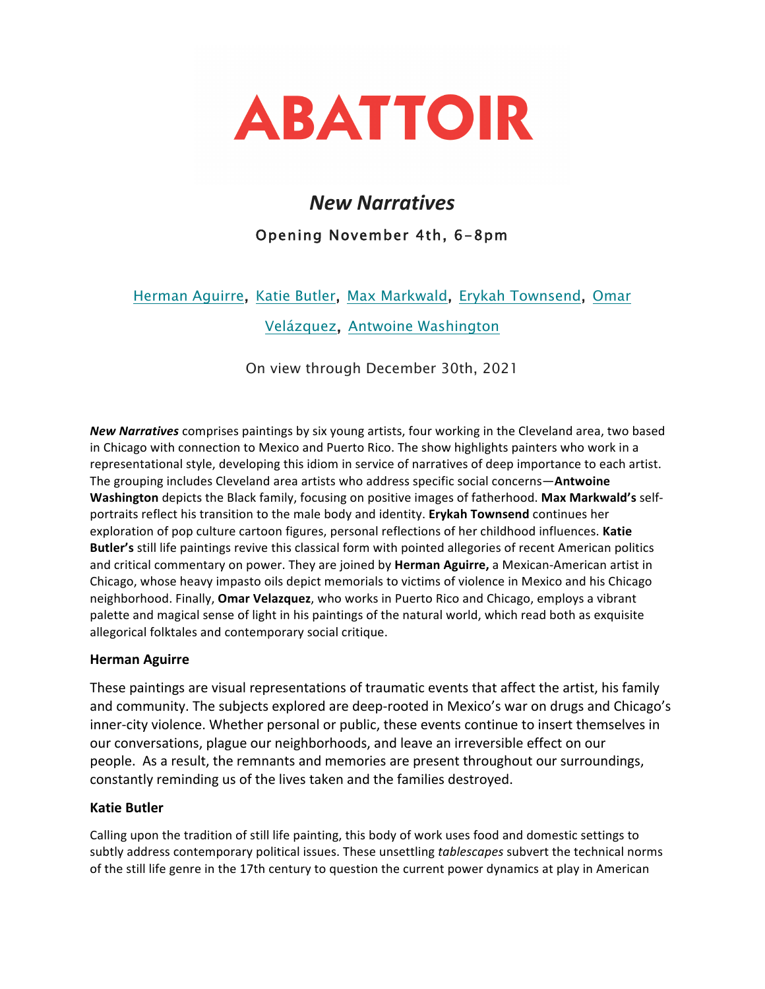

# *New Narratives* Opening November 4th, 6-8pm

# Herman Aguirre, Katie Butler, Max Markwald, Erykah Townsend, Omar

Velázquez, Antwoine Washington

On view through December 30th, 2021

**New Narratives** comprises paintings by six young artists, four working in the Cleveland area, two based in Chicago with connection to Mexico and Puerto Rico. The show highlights painters who work in a representational style, developing this idiom in service of narratives of deep importance to each artist. The grouping includes Cleveland area artists who address specific social concerns-**Antwoine Washington** depicts the Black family, focusing on positive images of fatherhood. Max Markwald's selfportraits reflect his transition to the male body and identity. **Erykah Townsend** continues her exploration of pop culture cartoon figures, personal reflections of her childhood influences. Katie **Butler's** still life paintings revive this classical form with pointed allegories of recent American politics and critical commentary on power. They are joined by Herman Aguirre, a Mexican-American artist in Chicago, whose heavy impasto oils depict memorials to victims of violence in Mexico and his Chicago neighborhood. Finally, **Omar Velazquez**, who works in Puerto Rico and Chicago, employs a vibrant palette and magical sense of light in his paintings of the natural world, which read both as exquisite allegorical folktales and contemporary social critique.

#### **Herman Aguirre**

These paintings are visual representations of traumatic events that affect the artist, his family and community. The subjects explored are deep-rooted in Mexico's war on drugs and Chicago's inner-city violence. Whether personal or public, these events continue to insert themselves in our conversations, plague our neighborhoods, and leave an irreversible effect on our people. As a result, the remnants and memories are present throughout our surroundings, constantly reminding us of the lives taken and the families destroyed.

#### **Katie Butler**

Calling upon the tradition of still life painting, this body of work uses food and domestic settings to subtly address contemporary political issues. These unsettling *tablescapes* subvert the technical norms of the still life genre in the 17th century to question the current power dynamics at play in American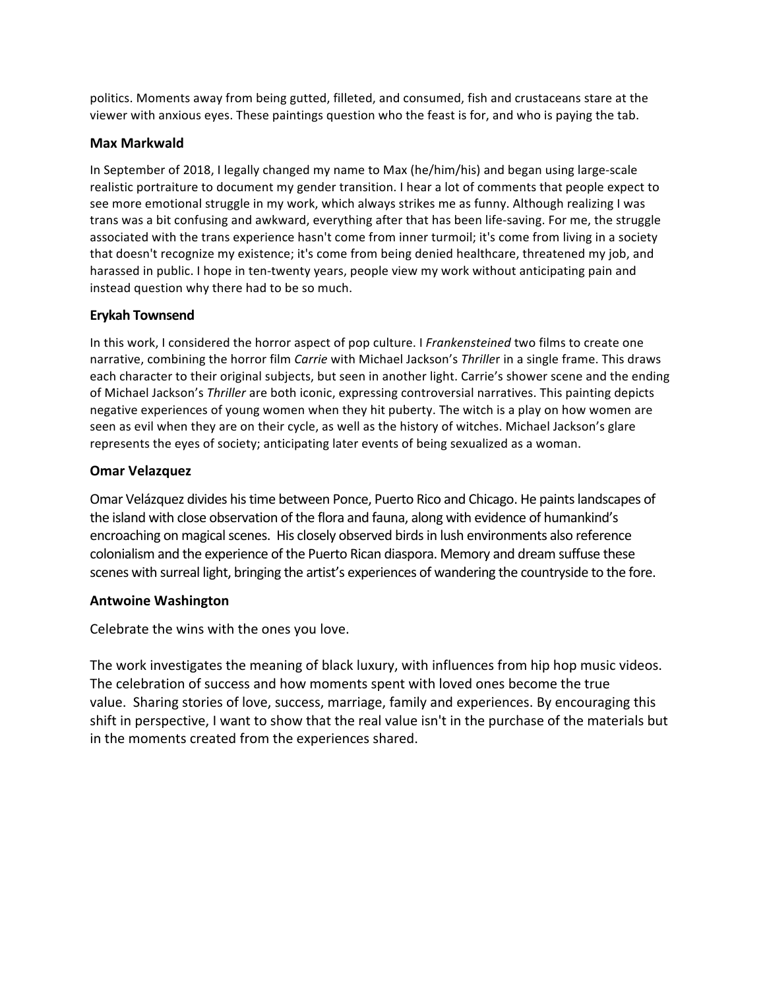politics. Moments away from being gutted, filleted, and consumed, fish and crustaceans stare at the viewer with anxious eyes. These paintings question who the feast is for, and who is paying the tab.

### **Max Markwald**

In September of 2018, I legally changed my name to Max (he/him/his) and began using large-scale realistic portraiture to document my gender transition. I hear a lot of comments that people expect to see more emotional struggle in my work, which always strikes me as funny. Although realizing I was trans was a bit confusing and awkward, everything after that has been life-saving. For me, the struggle associated with the trans experience hasn't come from inner turmoil; it's come from living in a society that doesn't recognize my existence; it's come from being denied healthcare, threatened my job, and harassed in public. I hope in ten-twenty years, people view my work without anticipating pain and instead question why there had to be so much.

# **Erykah Townsend**

In this work, I considered the horror aspect of pop culture. I Frankensteined two films to create one narrative, combining the horror film *Carrie* with Michael Jackson's Thriller in a single frame. This draws each character to their original subjects, but seen in another light. Carrie's shower scene and the ending of Michael Jackson's Thriller are both iconic, expressing controversial narratives. This painting depicts negative experiences of young women when they hit puberty. The witch is a play on how women are seen as evil when they are on their cycle, as well as the history of witches. Michael Jackson's glare represents the eyes of society; anticipating later events of being sexualized as a woman.

# **Omar Velazquez**

Omar Velázquez divides his time between Ponce, Puerto Rico and Chicago. He paints landscapes of the island with close observation of the flora and fauna, along with evidence of humankind's encroaching on magical scenes. His closely observed birds in lush environments also reference colonialism and the experience of the Puerto Rican diaspora. Memory and dream suffuse these scenes with surreal light, bringing the artist's experiences of wandering the countryside to the fore.

#### **Antwoine Washington**

Celebrate the wins with the ones you love.

The work investigates the meaning of black luxury, with influences from hip hop music videos. The celebration of success and how moments spent with loved ones become the true value. Sharing stories of love, success, marriage, family and experiences. By encouraging this shift in perspective, I want to show that the real value isn't in the purchase of the materials but in the moments created from the experiences shared.